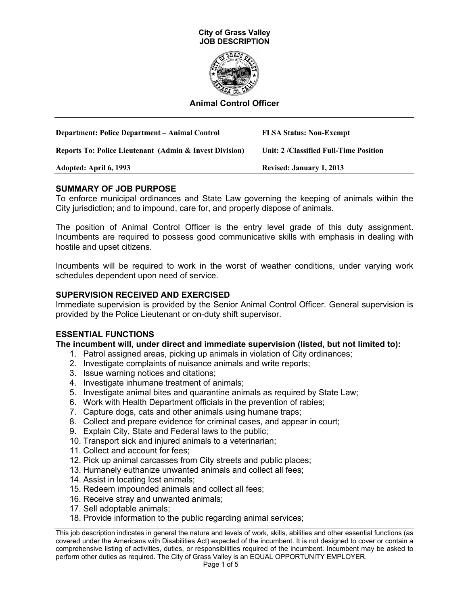



### **Animal Control Officer**

| <b>Department: Police Department – Animal Control</b>              | <b>FLSA Status: Non-Exempt</b>          |
|--------------------------------------------------------------------|-----------------------------------------|
| <b>Reports To: Police Lieutenant (Admin &amp; Invest Division)</b> | Unit: 2 / Classified Full-Time Position |
| Adopted: April 6, 1993                                             | <b>Revised: January 1, 2013</b>         |

### **SUMMARY OF JOB PURPOSE**

To enforce municipal ordinances and State Law governing the keeping of animals within the City jurisdiction; and to impound, care for, and properly dispose of animals.

The position of Animal Control Officer is the entry level grade of this duty assignment. Incumbents are required to possess good communicative skills with emphasis in dealing with hostile and upset citizens.

Incumbents will be required to work in the worst of weather conditions, under varying work schedules dependent upon need of service.

#### **SUPERVISION RECEIVED AND EXERCISED**

Immediate supervision is provided by the Senior Animal Control Officer. General supervision is provided by the Police Lieutenant or on-duty shift supervisor.

### **ESSENTIAL FUNCTIONS**

#### **The incumbent will, under direct and immediate supervision (listed, but not limited to):**

- 1. Patrol assigned areas, picking up animals in violation of City ordinances;
- 2. Investigate complaints of nuisance animals and write reports;
- 3. Issue warning notices and citations;
- 4. Investigate inhumane treatment of animals;
- 5. Investigate animal bites and quarantine animals as required by State Law;
- 6. Work with Health Department officials in the prevention of rabies;
- 7. Capture dogs, cats and other animals using humane traps;
- 8. Collect and prepare evidence for criminal cases, and appear in court;
- 9. Explain City, State and Federal laws to the public;
- 10. Transport sick and injured animals to a veterinarian;
- 11. Collect and account for fees;
- 12. Pick up animal carcasses from City streets and public places;
- 13. Humanely euthanize unwanted animals and collect all fees;
- 14. Assist in locating lost animals;
- 15. Redeem impounded animals and collect all fees;
- 16. Receive stray and unwanted animals;
- 17. Sell adoptable animals;
- 18. Provide information to the public regarding animal services;

This job description indicates in general the nature and levels of work, skills, abilities and other essential functions (as covered under the Americans with Disabilities Act) expected of the incumbent. It is not designed to cover or contain a comprehensive listing of activities, duties, or responsibilities required of the incumbent. Incumbent may be asked to perform other duties as required. The City of Grass Valley is an EQUAL OPPORTUNITY EMPLOYER.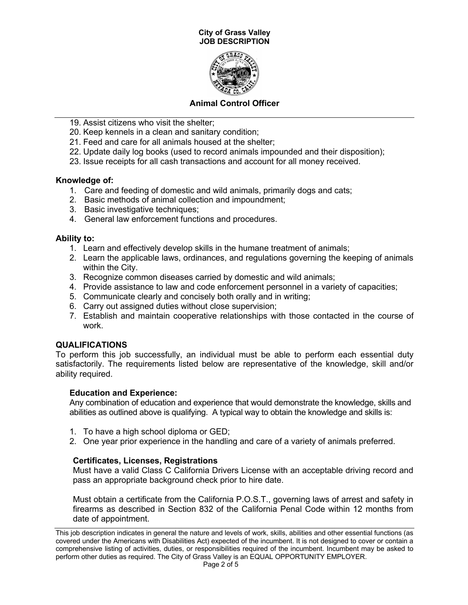#### **City of Grass Valley JOB DESCRIPTION**



# **Animal Control Officer**

- 19. Assist citizens who visit the shelter;
- 20. Keep kennels in a clean and sanitary condition;
- 21. Feed and care for all animals housed at the shelter;
- 22. Update daily log books (used to record animals impounded and their disposition);
- 23. Issue receipts for all cash transactions and account for all money received.

# **Knowledge of:**

- 1. Care and feeding of domestic and wild animals, primarily dogs and cats;
- 2. Basic methods of animal collection and impoundment;
- 3. Basic investigative techniques;
- 4. General law enforcement functions and procedures.

# **Ability to:**

- 1. Learn and effectively develop skills in the humane treatment of animals;
- 2. Learn the applicable laws, ordinances, and regulations governing the keeping of animals within the City.
- 3. Recognize common diseases carried by domestic and wild animals;
- 4. Provide assistance to law and code enforcement personnel in a variety of capacities;
- 5. Communicate clearly and concisely both orally and in writing;
- 6. Carry out assigned duties without close supervision;
- 7. Establish and maintain cooperative relationships with those contacted in the course of work.

# **QUALIFICATIONS**

To perform this job successfully, an individual must be able to perform each essential duty satisfactorily. The requirements listed below are representative of the knowledge, skill and/or ability required.

# **Education and Experience:**

Any combination of education and experience that would demonstrate the knowledge, skills and abilities as outlined above is qualifying. A typical way to obtain the knowledge and skills is:

- 1. To have a high school diploma or GED;
- 2. One year prior experience in the handling and care of a variety of animals preferred.

# **Certificates, Licenses, Registrations**

Must have a valid Class C California Drivers License with an acceptable driving record and pass an appropriate background check prior to hire date.

Must obtain a certificate from the California P.O.S.T., governing laws of arrest and safety in firearms as described in Section 832 of the California Penal Code within 12 months from date of appointment.

This job description indicates in general the nature and levels of work, skills, abilities and other essential functions (as covered under the Americans with Disabilities Act) expected of the incumbent. It is not designed to cover or contain a comprehensive listing of activities, duties, or responsibilities required of the incumbent. Incumbent may be asked to perform other duties as required. The City of Grass Valley is an EQUAL OPPORTUNITY EMPLOYER.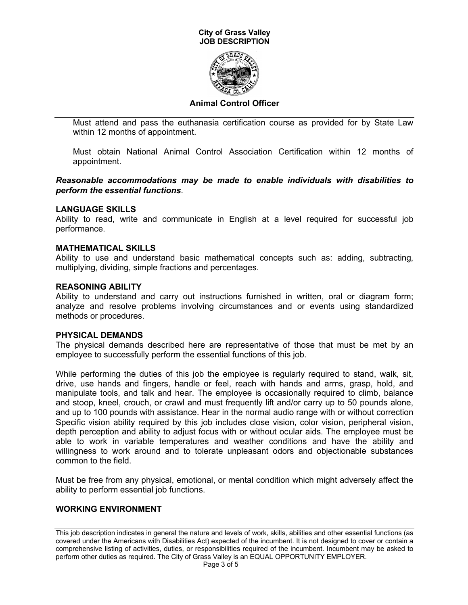#### **City of Grass Valley JOB DESCRIPTION**



# **Animal Control Officer**

Must attend and pass the euthanasia certification course as provided for by State Law within 12 months of appointment.

Must obtain National Animal Control Association Certification within 12 months of appointment.

*Reasonable accommodations may be made to enable individuals with disabilities to perform the essential functions*.

#### **LANGUAGE SKILLS**

Ability to read, write and communicate in English at a level required for successful job performance.

#### **MATHEMATICAL SKILLS**

Ability to use and understand basic mathematical concepts such as: adding, subtracting, multiplying, dividing, simple fractions and percentages.

### **REASONING ABILITY**

Ability to understand and carry out instructions furnished in written, oral or diagram form; analyze and resolve problems involving circumstances and or events using standardized methods or procedures.

#### **PHYSICAL DEMANDS**

The physical demands described here are representative of those that must be met by an employee to successfully perform the essential functions of this job.

While performing the duties of this job the employee is regularly required to stand, walk, sit, drive, use hands and fingers, handle or feel, reach with hands and arms, grasp, hold, and manipulate tools, and talk and hear. The employee is occasionally required to climb, balance and stoop, kneel, crouch, or crawl and must frequently lift and/or carry up to 50 pounds alone, and up to 100 pounds with assistance. Hear in the normal audio range with or without correction Specific vision ability required by this job includes close vision, color vision, peripheral vision, depth perception and ability to adjust focus with or without ocular aids. The employee must be able to work in variable temperatures and weather conditions and have the ability and willingness to work around and to tolerate unpleasant odors and objectionable substances common to the field.

Must be free from any physical, emotional, or mental condition which might adversely affect the ability to perform essential job functions.

### **WORKING ENVIRONMENT**

This job description indicates in general the nature and levels of work, skills, abilities and other essential functions (as covered under the Americans with Disabilities Act) expected of the incumbent. It is not designed to cover or contain a comprehensive listing of activities, duties, or responsibilities required of the incumbent. Incumbent may be asked to perform other duties as required. The City of Grass Valley is an EQUAL OPPORTUNITY EMPLOYER.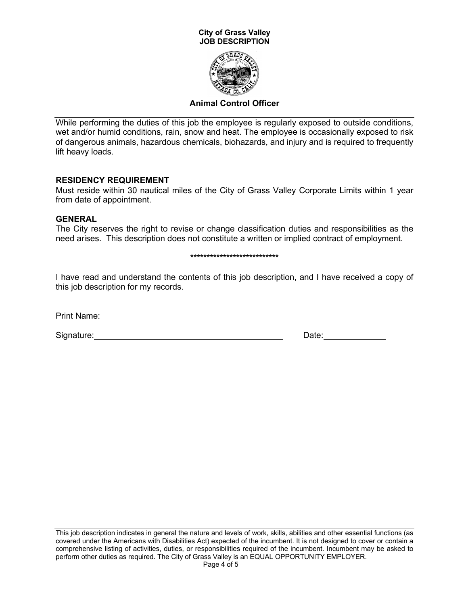#### **City of Grass Valley JOB DESCRIPTION**



# **Animal Control Officer**

While performing the duties of this job the employee is regularly exposed to outside conditions, wet and/or humid conditions, rain, snow and heat. The employee is occasionally exposed to risk of dangerous animals, hazardous chemicals, biohazards, and injury and is required to frequently lift heavy loads.

### **RESIDENCY REQUIREMENT**

Must reside within 30 nautical miles of the City of Grass Valley Corporate Limits within 1 year from date of appointment.

# **GENERAL**

The City reserves the right to revise or change classification duties and responsibilities as the need arises. This description does not constitute a written or implied contract of employment.

#### **\*\*\*\*\*\*\*\*\*\*\*\*\*\*\*\*\*\*\*\*\*\*\*\*\*\*\***

I have read and understand the contents of this job description, and I have received a copy of this job description for my records.

Print Name:

Signature: <u>Conserverse Conserverse Conserverse Conserverse Conserverse Conserverse Conserverse</u>

This job description indicates in general the nature and levels of work, skills, abilities and other essential functions (as covered under the Americans with Disabilities Act) expected of the incumbent. It is not designed to cover or contain a comprehensive listing of activities, duties, or responsibilities required of the incumbent. Incumbent may be asked to perform other duties as required. The City of Grass Valley is an EQUAL OPPORTUNITY EMPLOYER.